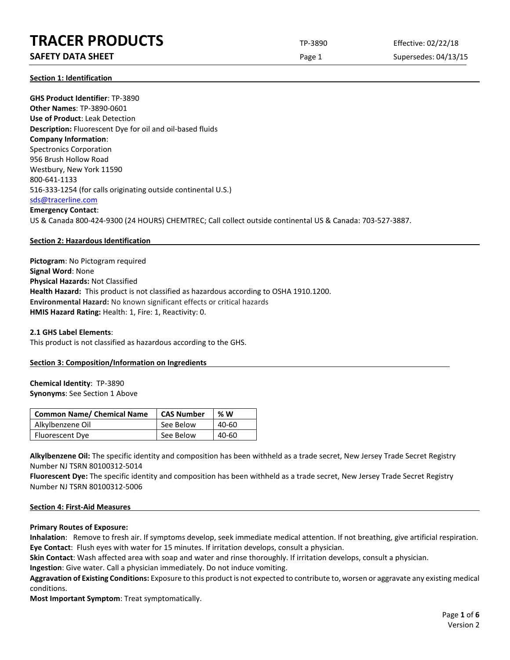## **SAFETY DATA SHEET** SUPERFOUR CONSUMING THE Page 1 Supersedes: 04/13/15

**Section 1: Identification**

**GHS Product Identifier**: TP-3890 **Other Names**: TP-3890-0601 **Use of Product**: Leak Detection **Description:** Fluorescent Dye for oil and oil-based fluids **Company Information**: Spectronics Corporation 956 Brush Hollow Road Westbury, New York 11590 800-641-1133 516-333-1254 (for calls originating outside continental U.S.) [sds@tracerline.com](mailto:sds@tracerline.com) **Emergency Contact**: US & Canada 800-424-9300 (24 HOURS) CHEMTREC; Call collect outside continental US & Canada: 703-527-3887.

### **Section 2: Hazardous Identification**

**Pictogram**: No Pictogram required **Signal Word**: None **Physical Hazards:** Not Classified **Health Hazard:** This product is not classified as hazardous according to OSHA 1910.1200. **Environmental Hazard:** No known significant effects or critical hazards **HMIS Hazard Rating:** Health: 1, Fire: 1, Reactivity: 0.

### **2.1 GHS Label Elements**:

This product is not classified as hazardous according to the GHS.

### **Section 3: Composition/Information on Ingredients**

**Chemical Identity**: TP-3890 **Synonyms**: See Section 1 Above

| <b>Common Name/ Chemical Name</b> | <b>CAS Number</b> | %W    |
|-----------------------------------|-------------------|-------|
| Alkylbenzene Oil                  | See Below         | 40-60 |
| <b>Fluorescent Dye</b>            | See Below         | 40-60 |

**Alkylbenzene Oil:** The specific identity and composition has been withheld as a trade secret, New Jersey Trade Secret Registry Number NJ TSRN 80100312-5014

**Fluorescent Dye:** The specific identity and composition has been withheld as a trade secret, New Jersey Trade Secret Registry Number NJ TSRN 80100312-5006

### **Section 4: First-Aid Measures**

### **Primary Routes of Exposure:**

**Inhalation**: Remove to fresh air. If symptoms develop, seek immediate medical attention. If not breathing, give artificial respiration. **Eye Contact**: Flush eyes with water for 15 minutes. If irritation develops, consult a physician.

**Skin Contact**: Wash affected area with soap and water and rinse thoroughly. If irritation develops, consult a physician.

**Ingestion**: Give water. Call a physician immediately. Do not induce vomiting.

**Aggravation of Existing Conditions:** Exposure to this product is not expected to contribute to, worsen or aggravate any existing medical conditions.

**Most Important Symptom**: Treat symptomatically.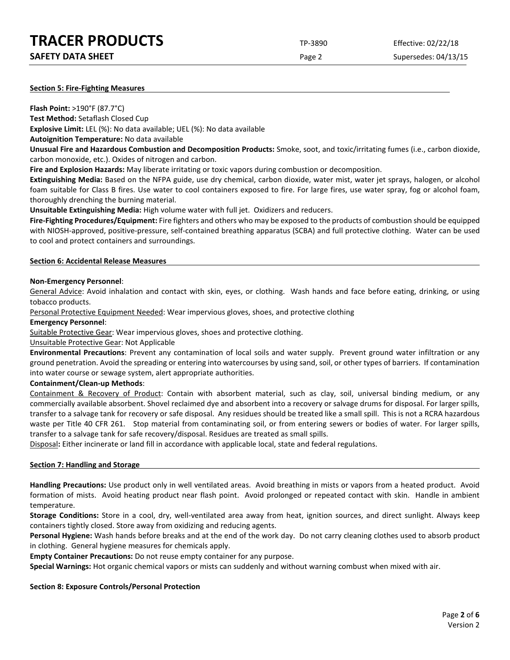### **Section 5: Fire-Fighting Measures**

**Flash Point:** >190°F (87.7°C)

**Test Method:** Setaflash Closed Cup

**Explosive Limit:** LEL (%): No data available; UEL (%): No data available

**Autoignition Temperature:** No data available

**Unusual Fire and Hazardous Combustion and Decomposition Products:** Smoke, soot, and toxic/irritating fumes (i.e., carbon dioxide, carbon monoxide, etc.). Oxides of nitrogen and carbon.

**Fire and Explosion Hazards:** May liberate irritating or toxic vapors during combustion or decomposition.

**Extinguishing Media:** Based on the NFPA guide, use dry chemical, carbon dioxide, water mist, water jet sprays, halogen, or alcohol foam suitable for Class B fires. Use water to cool containers exposed to fire. For large fires, use water spray, fog or alcohol foam, thoroughly drenching the burning material.

**Unsuitable Extinguishing Media:** High volume water with full jet. Oxidizers and reducers.

**Fire-Fighting Procedures/Equipment:** Fire fighters and others who may be exposed to the products of combustion should be equipped with NIOSH-approved, positive-pressure, self-contained breathing apparatus (SCBA) and full protective clothing. Water can be used to cool and protect containers and surroundings.

### **Section 6: Accidental Release Measures**

### **Non-Emergency Personnel**:

General Advice: Avoid inhalation and contact with skin, eyes, or clothing. Wash hands and face before eating, drinking, or using tobacco products.

Personal Protective Equipment Needed: Wear impervious gloves, shoes, and protective clothing

### **Emergency Personnel**:

Suitable Protective Gear: Wear impervious gloves, shoes and protective clothing.

Unsuitable Protective Gear: Not Applicable

**Environmental Precautions**: Prevent any contamination of local soils and water supply. Prevent ground water infiltration or any ground penetration. Avoid the spreading or entering into watercourses by using sand, soil, or other types of barriers. If contamination into water course or sewage system, alert appropriate authorities.

### **Containment/Clean-up Methods**:

Containment & Recovery of Product: Contain with absorbent material, such as clay, soil, universal binding medium, or any commercially available absorbent. Shovel reclaimed dye and absorbent into a recovery or salvage drums for disposal. For larger spills, transfer to a salvage tank for recovery or safe disposal. Any residues should be treated like a small spill. This is not a RCRA hazardous waste per Title 40 CFR 261. Stop material from contaminating soil, or from entering sewers or bodies of water. For larger spills, transfer to a salvage tank for safe recovery/disposal. Residues are treated as small spills.

Disposal**:** Either incinerate or land fill in accordance with applicable local, state and federal regulations.

### **Section 7: Handling and Storage**

**Handling Precautions:** Use product only in well ventilated areas. Avoid breathing in mists or vapors from a heated product. Avoid formation of mists. Avoid heating product near flash point. Avoid prolonged or repeated contact with skin. Handle in ambient temperature.

**Storage Conditions:** Store in a cool, dry, well-ventilated area away from heat, ignition sources, and direct sunlight. Always keep containers tightly closed. Store away from oxidizing and reducing agents.

**Personal Hygiene:** Wash hands before breaks and at the end of the work day. Do not carry cleaning clothes used to absorb product in clothing. General hygiene measures for chemicals apply.

**Empty Container Precautions:** Do not reuse empty container for any purpose.

**Special Warnings:** Hot organic chemical vapors or mists can suddenly and without warning combust when mixed with air.

### **Section 8: Exposure Controls/Personal Protection**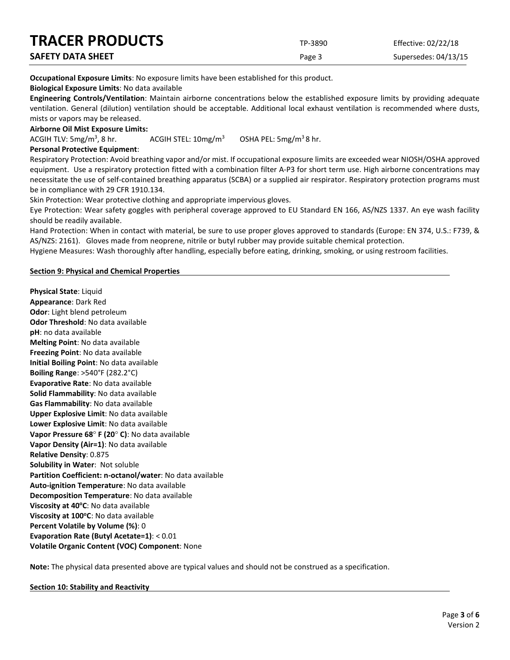| <b>TRACER PRODUCTS</b>   | TP-3890 | Effective: 02/22/18  |
|--------------------------|---------|----------------------|
| <b>SAFETY DATA SHEET</b> | Page 3  | Supersedes: 04/13/15 |

**Occupational Exposure Limits**: No exposure limits have been established for this product.

### **Biological Exposure Limits**: No data available

**Engineering Controls/Ventilation**: Maintain airborne concentrations below the established exposure limits by providing adequate ventilation. General (dilution) ventilation should be acceptable. Additional local exhaust ventilation is recommended where dusts, mists or vapors may be released.

### **Airborne Oil Mist Exposure Limits:**

ACGIH TLV:  $5mg/m<sup>3</sup>$ , 8 hr. ACGIH STEL:  $10 \text{mg/m}^3$  OSHA PEL:  $5 \text{mg/m}^3$  8 hr.

### **Personal Protective Equipment**:

Respiratory Protection: Avoid breathing vapor and/or mist. If occupational exposure limits are exceeded wear NIOSH/OSHA approved equipment. Use a respiratory protection fitted with a combination filter A-P3 for short term use. High airborne concentrations may necessitate the use of self-contained breathing apparatus (SCBA) or a supplied air respirator. Respiratory protection programs must be in compliance with 29 CFR 1910.134.

Skin Protection: Wear protective clothing and appropriate impervious gloves.

Eye Protection: Wear safety goggles with peripheral coverage approved to EU Standard EN 166, AS/NZS 1337. An eye wash facility should be readily available.

Hand Protection: When in contact with material, be sure to use proper gloves approved to standards (Europe: EN 374, U.S.: F739, & AS/NZS: 2161). Gloves made from neoprene, nitrile or butyl rubber may provide suitable chemical protection.

Hygiene Measures: Wash thoroughly after handling, especially before eating, drinking, smoking, or using restroom facilities.

### **Section 9: Physical and Chemical Properties**

**Physical State**: Liquid **Appearance**: Dark Red **Odor**: Light blend petroleum **Odor Threshold**: No data available **pH**: no data available **Melting Point**: No data available **Freezing Point**: No data available **Initial Boiling Point**: No data available **Boiling Range**: >540°F (282.2°C) **Evaporative Rate**: No data available **Solid Flammability**: No data available **Gas Flammability**: No data available **Upper Explosive Limit**: No data available **Lower Explosive Limit**: No data available **Vapor Pressure 68**° **F (20**° **C)**: No data available **Vapor Density (Air=1)**: No data available **Relative Density**: 0.875 **Solubility in Water**: Not soluble **Partition Coefficient: n-octanol/water**: No data available **Auto-ignition Temperature**: No data available **Decomposition Temperature**: No data available **Viscosity at 40°C**: No data available **Viscosity at 100°C**: No data available **Percent Volatile by Volume (%)**: 0 **Evaporation Rate (Butyl Acetate=1)**: < 0.01 **Volatile Organic Content (VOC) Component**: None

**Note:** The physical data presented above are typical values and should not be construed as a specification.

**Section 10: Stability and Reactivity**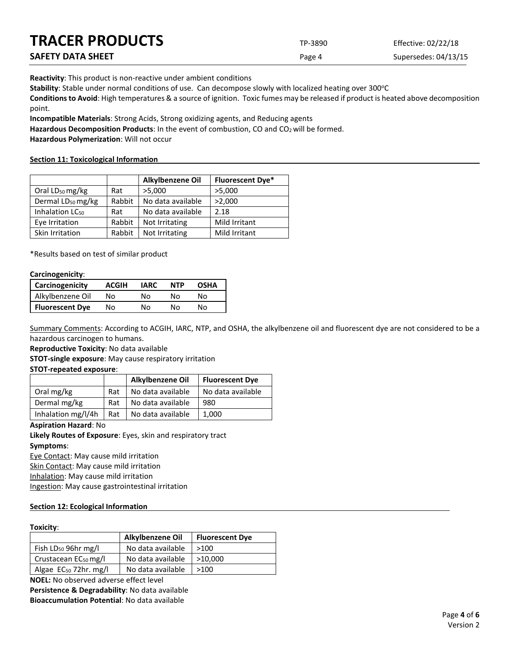| <b>TRACER PRODUCTS</b> | TP-3890 | Effective: 02/22/18  |
|------------------------|---------|----------------------|
| SAFETY DATA SHEET      | Page 4  | Supersedes: 04/13/15 |

**Reactivity**: This product is non-reactive under ambient conditions

Stability: Stable under normal conditions of use. Can decompose slowly with localized heating over 300°C

**Conditions to Avoid**: High temperatures & a source of ignition. Toxic fumes may be released if product is heated above decomposition point.

**Incompatible Materials**: Strong Acids, Strong oxidizing agents, and Reducing agents

Hazardous Decomposition Products: In the event of combustion, CO and CO<sub>2</sub> will be formed.

**Hazardous Polymerization**: Will not occur

### **Section 11: Toxicological Information**

|                               |        | Alkylbenzene Oil  | <b>Fluorescent Dye*</b> |
|-------------------------------|--------|-------------------|-------------------------|
| Oral LD <sub>50</sub> mg/kg   | Rat    | >5,000            | >5,000                  |
| Dermal LD <sub>50</sub> mg/kg | Rabbit | No data available | >2,000                  |
| Inhalation LC <sub>50</sub>   | Rat    | No data available | 2.18                    |
| Eye Irritation                | Rabbit | Not Irritating    | Mild Irritant           |
| Skin Irritation               | Rabbit | Not Irritating    | Mild Irritant           |

\*Results based on test of similar product

### **Carcinogenicity**:

| <b>Carcinogenicity</b> | <b>ACGIH</b> | <b>IARC</b> | <b>NTP</b> | <b>OSHA</b> |
|------------------------|--------------|-------------|------------|-------------|
| Alkylbenzene Oil       | Nο           | N٥          | N٥         | N٥          |
| <b>Fluorescent Dye</b> | No           | N٥          | N٥         | N٥          |

Summary Comments: According to ACGIH, IARC, NTP, and OSHA, the alkylbenzene oil and fluorescent dye are not considered to be a hazardous carcinogen to humans.

**Reproductive Toxicity**: No data available

**STOT-single exposure**: May cause respiratory irritation

**STOT-repeated exposure**:

|                    |     | Alkylbenzene Oil  | <b>Fluorescent Dye</b> |
|--------------------|-----|-------------------|------------------------|
| Oral mg/kg         | Rat | No data available | No data available      |
| Dermal mg/kg       | Rat | No data available | 980                    |
| Inhalation mg/l/4h | Rat | No data available | 1.000                  |

### **Aspiration Hazard**: No

**Likely Routes of Exposure**: Eyes, skin and respiratory tract **Symptoms**:

Eye Contact: May cause mild irritation Skin Contact: May cause mild irritation

Inhalation: May cause mild irritation

Ingestion: May cause gastrointestinal irritation

### **Section 12: Ecological Information**

## **Toxicity**:

|                                   | Alkylbenzene Oil  | <b>Fluorescent Dye</b> |
|-----------------------------------|-------------------|------------------------|
| Fish $LD_{50}$ 96hr mg/l          | No data available | >100                   |
| Crustacean EC <sub>50</sub> mg/l  | No data available | >10.000                |
| Algae EC <sub>50</sub> 72hr. mg/l | No data available | >100                   |

**NOEL:** No observed adverse effect level

**Persistence & Degradability**: No data available **Bioaccumulation Potential**: No data available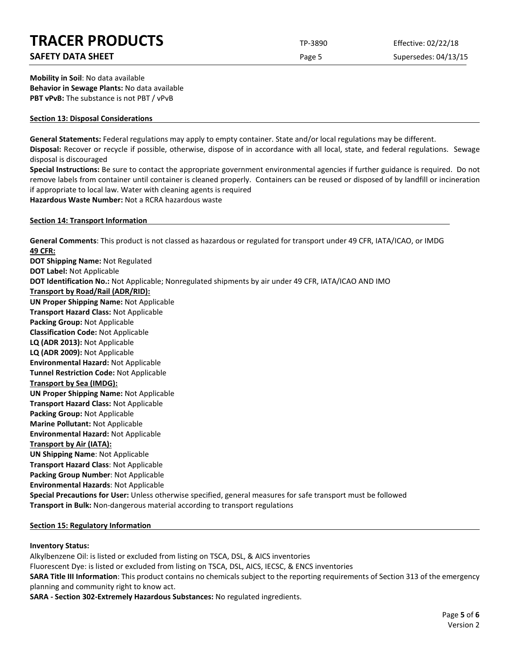## **SAFETY DATA SHEET** SUPERFOUR SAFET ASSEMBLY 2009 THE Page 5 Supersedes: 04/13/15

**Mobility in Soil**: No data available **Behavior in Sewage Plants:** No data available **PBT vPvB:** The substance is not PBT / vPvB

### **Section 13: Disposal Considerations**

**General Statements:** Federal regulations may apply to empty container. State and/or local regulations may be different.

**Disposal:** Recover or recycle if possible, otherwise, dispose of in accordance with all local, state, and federal regulations. Sewage disposal is discouraged

**Special Instructions:** Be sure to contact the appropriate government environmental agencies if further guidance is required. Do not remove labels from container until container is cleaned properly. Containers can be reused or disposed of by landfill or incineration if appropriate to local law. Water with cleaning agents is required

**Hazardous Waste Number:** Not a RCRA hazardous waste

### **Section 14: Transport Information**

**General Comments**: This product is not classed as hazardous or regulated for transport under 49 CFR, IATA/ICAO, or IMDG **49 CFR: DOT Shipping Name:** Not Regulated

**DOT Label:** Not Applicable **DOT Identification No.:** Not Applicable; Nonregulated shipments by air under 49 CFR, IATA/ICAO AND IMO **Transport by Road/Rail (ADR/RID): UN Proper Shipping Name:** Not Applicable **Transport Hazard Class:** Not Applicable **Packing Group:** Not Applicable **Classification Code:** Not Applicable **LQ (ADR 2013):** Not Applicable **LQ (ADR 2009):** Not Applicable **Environmental Hazard:** Not Applicable **Tunnel Restriction Code:** Not Applicable **Transport by Sea (IMDG): UN Proper Shipping Name:** Not Applicable **Transport Hazard Class:** Not Applicable **Packing Group:** Not Applicable **Marine Pollutant:** Not Applicable **Environmental Hazard:** Not Applicable **Transport by Air (IATA): UN Shipping Name**: Not Applicable **Transport Hazard Class**: Not Applicable **Packing Group Number**: Not Applicable **Environmental Hazards**: Not Applicable **Special Precautions for User:** Unless otherwise specified, general measures for safe transport must be followed **Transport in Bulk:** Non-dangerous material according to transport regulations

### **Section 15: Regulatory Information**

### **Inventory Status:**

Alkylbenzene Oil: is listed or excluded from listing on TSCA, DSL, & AICS inventories Fluorescent Dye: is listed or excluded from listing on TSCA, DSL, AICS, IECSC, & ENCS inventories **SARA Title III Information**: This product contains no chemicals subject to the reporting requirements of Section 313 of the emergency planning and community right to know act.

**SARA - Section 302-Extremely Hazardous Substances:** No regulated ingredients.